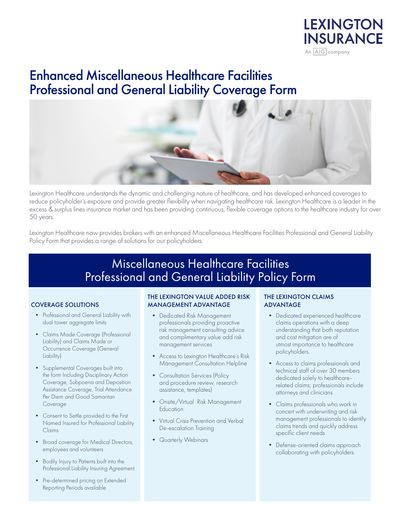

# Enhanced Miscellaneous Healthcare Facilities Professional and General Liability Coverage Form



Lexington Healthcare understands the dynamic and challenging nature of healthcare, and has developed enhanced coverages to reduce policyholder's exposure and provide greater flexibility when navigating healthcare risk. Lexington Healthcare is a leader in the excess & surplus lines insurance market and has been providing continuous, flexible coverage options to the healthcare industry for over 50 years.

Lexington Healthcare now provides brokers with an enhanced Miscellaneous Healthcare Facilities Professional and General Liability Policy Form that provides a range of solutions for our policyholders.

## Miscellaneous Healthcare Facilities Professional and General Liability Policy Form

### COVERAGE SOLUTIONS

- Professional and General Liability with dual tower aggregate limits
- Claims Made Coverage (Professional Liability) and Claims Made or Occurrence Coverage (General Liability)
- Supplemental Coverages built into the form Including Disciplinary Action Coverage, Subpoena and Deposition Assistance Coverage, Trial Attendance Per Diem and Good Samaritan Coverage
- Consent to Settle provided to the First Named Insured for Professional Liability Claims
- Broad coverage for Medical Directors, employees and volunteers
- Bodily Injury to Patients built into the Professional Liability Insuring Agreement
- Pre-determined pricing on Extended Reporting Periods available

### THE LEXINGTON VALUE ADDED RISK MANAGEMENT ADVANTAGE

- Dedicated Risk Management professionals providing proactive risk management consulting advice and complimentary value add risk management services
- Access to Lexington Healthcare's Risk Management Consultation Helpline
- Consultation Services (Policy and procedure review, research assistance, templates)
- Onsite/Virtual Risk Management Education
- Virtual Crisis Prevention and Verbal De-escalation Training
- Quarterly Webinars

### THE LEXINGTON CLAIMS ADVANTAGE

- Dedicated experienced healthcare claims operations with a deep understanding that both reputation and cost mitigation are of utmost importance to healthcare policyholders.
- Access to claims professionals and technical staff of over 30 members dedicated solely to healthcarerelated claims; professionals include attorneys and clinicians
- Claims professionals who work in concert with underwriting and risk management professionals to identify claims trends and quickly address specific client needs
- Defense-oriented claims approach collaborating with policyholders